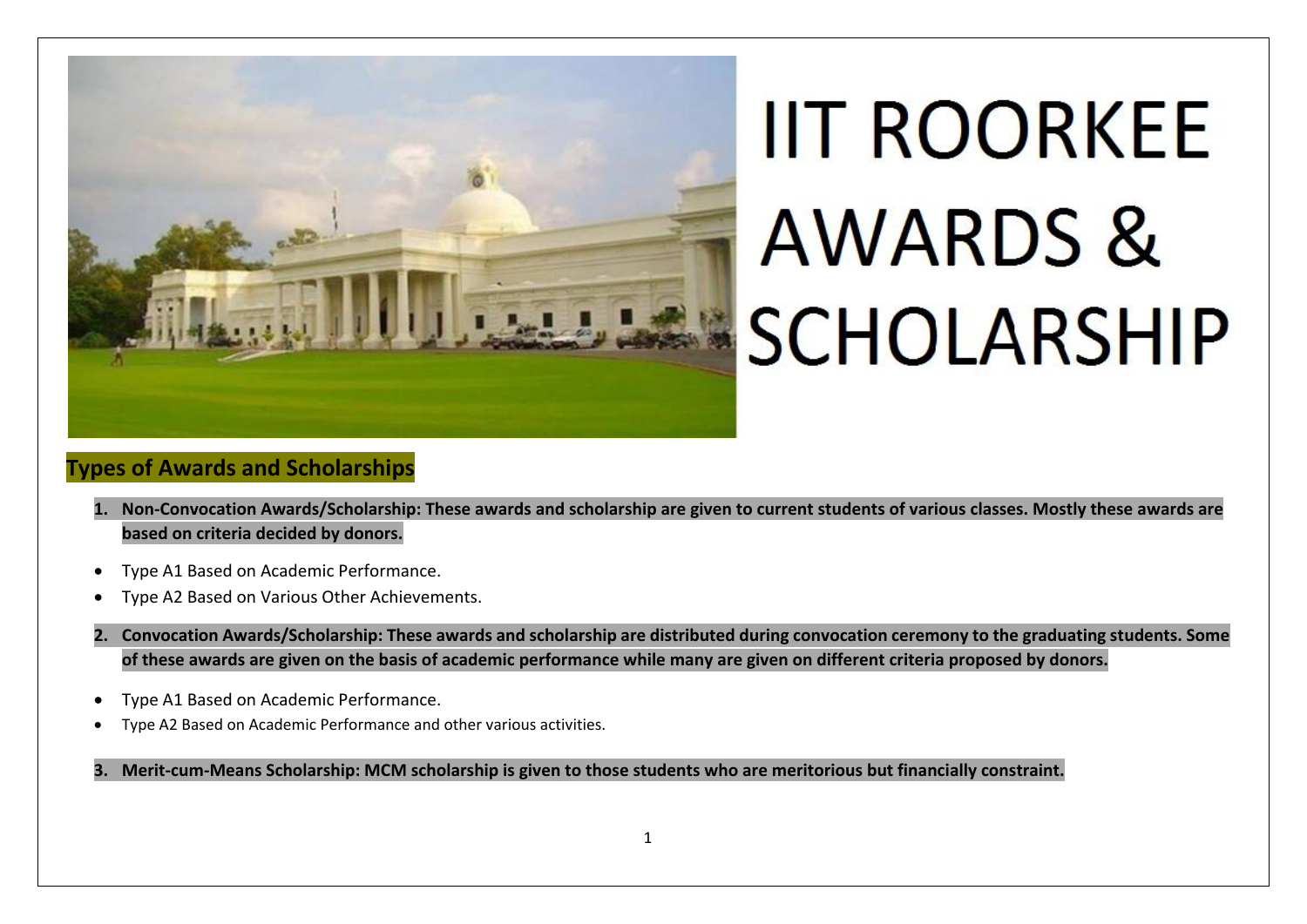

# **IIT ROORKEE AWARDS & SCHOLARSHIP**

#### **Types of Awards and Scholarships**

- **1. Non-Convocation Awards/Scholarship: These awards and scholarship are given to current students of various classes. Mostly these awards are based on criteria decided by donors.**
- Type A1 Based on Academic Performance.
- Type A2 Based on Various Other Achievements.
- **2. Convocation Awards/Scholarship: These awards and scholarship are distributed during convocation ceremony to the graduating students. Some of these awards are given on the basis of academic performance while many are given on different criteria proposed by donors.**
- Type A1 Based on Academic Performance.
- Type A2 Based on Academic Performance and other various activities.

#### **3. Merit-cum-Means Scholarship: MCM scholarship is given to those students who are meritorious but financially constraint.**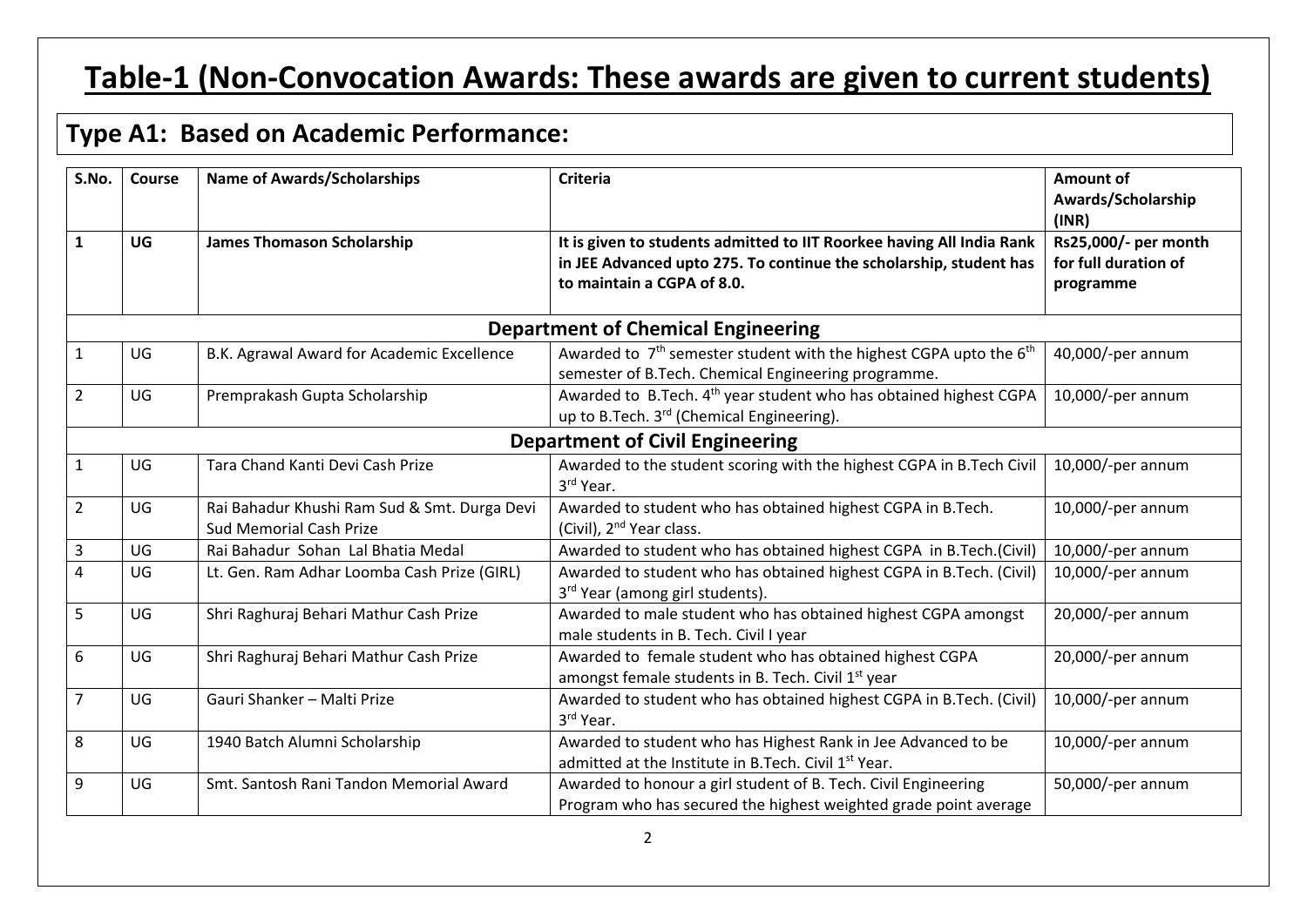# **Table-1 (Non-Convocation Awards: These awards are given to current students)**

## **Type A1: Based on Academic Performance:**

| S.No.          | Course | <b>Name of Awards/Scholarships</b>                                             | <b>Criteria</b>                                                                                                                                                           | <b>Amount of</b><br>Awards/Scholarship<br>(INR)           |
|----------------|--------|--------------------------------------------------------------------------------|---------------------------------------------------------------------------------------------------------------------------------------------------------------------------|-----------------------------------------------------------|
| $\mathbf{1}$   | UG     | <b>James Thomason Scholarship</b>                                              | It is given to students admitted to IIT Roorkee having All India Rank<br>in JEE Advanced upto 275. To continue the scholarship, student has<br>to maintain a CGPA of 8.0. | Rs25,000/- per month<br>for full duration of<br>programme |
|                |        |                                                                                | <b>Department of Chemical Engineering</b>                                                                                                                                 |                                                           |
| $\mathbf{1}$   | UG     | B.K. Agrawal Award for Academic Excellence                                     | Awarded to 7 <sup>th</sup> semester student with the highest CGPA upto the 6 <sup>th</sup><br>semester of B.Tech. Chemical Engineering programme.                         | 40,000/-per annum                                         |
| $\overline{2}$ | UG     | Premprakash Gupta Scholarship                                                  | Awarded to B.Tech. 4 <sup>th</sup> year student who has obtained highest CGPA<br>up to B.Tech. 3 <sup>rd</sup> (Chemical Engineering).                                    | 10,000/-per annum                                         |
|                |        |                                                                                | <b>Department of Civil Engineering</b>                                                                                                                                    |                                                           |
| $\mathbf{1}$   | UG     | Tara Chand Kanti Devi Cash Prize                                               | Awarded to the student scoring with the highest CGPA in B.Tech Civil<br>3rd Year.                                                                                         | 10,000/-per annum                                         |
| $\overline{2}$ | UG     | Rai Bahadur Khushi Ram Sud & Smt. Durga Devi<br><b>Sud Memorial Cash Prize</b> | Awarded to student who has obtained highest CGPA in B.Tech.<br>(Civil), 2 <sup>nd</sup> Year class.                                                                       | 10,000/-per annum                                         |
| 3              | UG     | Rai Bahadur Sohan Lal Bhatia Medal                                             | Awarded to student who has obtained highest CGPA in B.Tech.(Civil)                                                                                                        | 10,000/-per annum                                         |
| $\overline{4}$ | UG     | Lt. Gen. Ram Adhar Loomba Cash Prize (GIRL)                                    | Awarded to student who has obtained highest CGPA in B.Tech. (Civil)<br>3 <sup>rd</sup> Year (among girl students).                                                        | 10,000/-per annum                                         |
| 5              | UG     | Shri Raghuraj Behari Mathur Cash Prize                                         | Awarded to male student who has obtained highest CGPA amongst<br>male students in B. Tech. Civil I year                                                                   | 20,000/-per annum                                         |
| 6              | UG     | Shri Raghuraj Behari Mathur Cash Prize                                         | Awarded to female student who has obtained highest CGPA<br>amongst female students in B. Tech. Civil 1 <sup>st</sup> year                                                 | 20,000/-per annum                                         |
| $\overline{7}$ | UG     | Gauri Shanker - Malti Prize                                                    | Awarded to student who has obtained highest CGPA in B.Tech. (Civil)<br>3rd Year.                                                                                          | 10,000/-per annum                                         |
| 8              | UG     | 1940 Batch Alumni Scholarship                                                  | Awarded to student who has Highest Rank in Jee Advanced to be<br>admitted at the Institute in B.Tech. Civil 1st Year.                                                     | 10,000/-per annum                                         |
| 9              | UG     | Smt. Santosh Rani Tandon Memorial Award                                        | Awarded to honour a girl student of B. Tech. Civil Engineering<br>Program who has secured the highest weighted grade point average                                        | 50,000/-per annum                                         |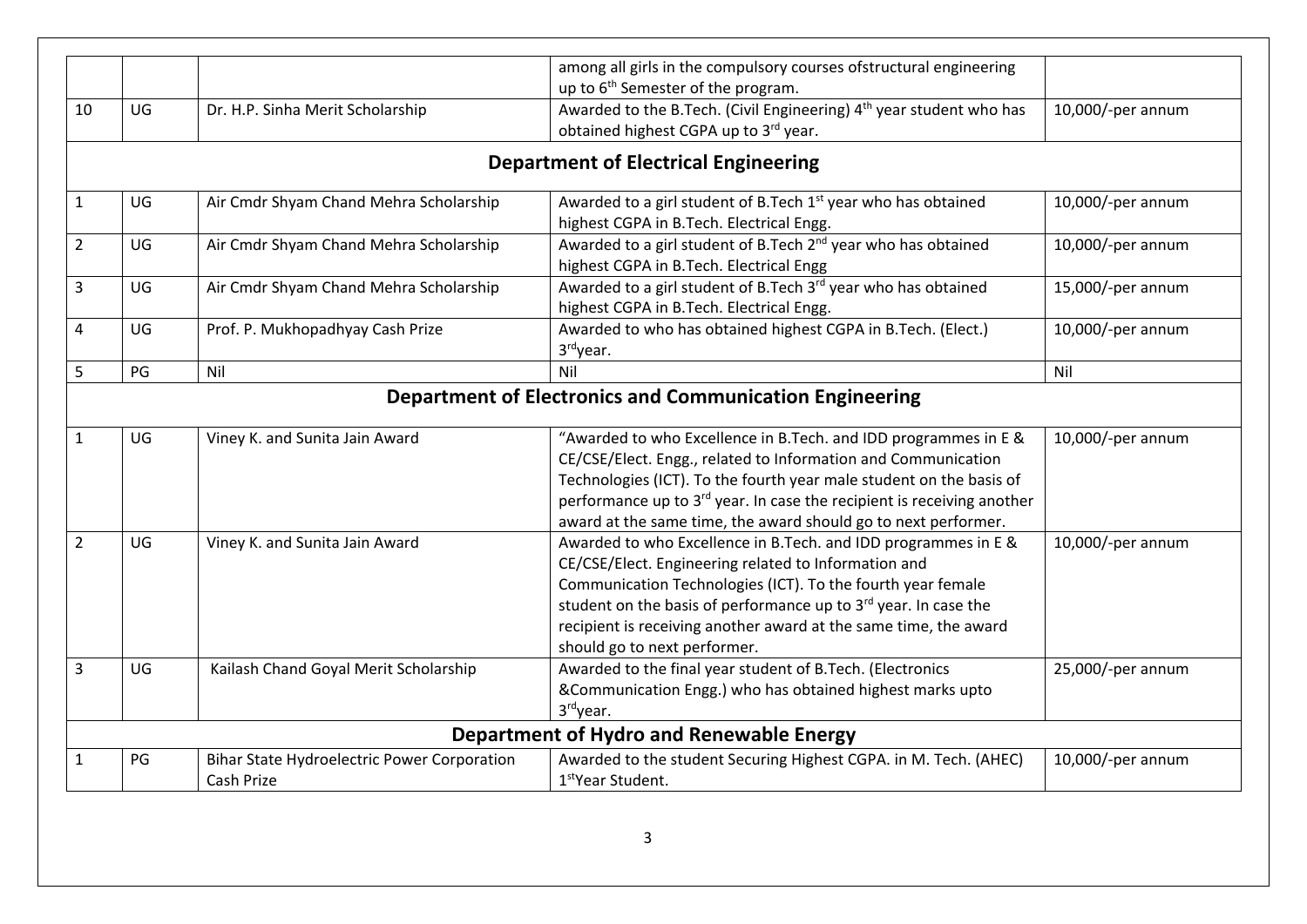|                |                                                                                                                                                                                                                                                                                                    |                                        | among all girls in the compulsory courses ofstructural engineering                                                                                                                                                                                                                                                                                           |                   |  |  |
|----------------|----------------------------------------------------------------------------------------------------------------------------------------------------------------------------------------------------------------------------------------------------------------------------------------------------|----------------------------------------|--------------------------------------------------------------------------------------------------------------------------------------------------------------------------------------------------------------------------------------------------------------------------------------------------------------------------------------------------------------|-------------------|--|--|
|                |                                                                                                                                                                                                                                                                                                    |                                        | up to 6 <sup>th</sup> Semester of the program.                                                                                                                                                                                                                                                                                                               |                   |  |  |
| 10             | UG                                                                                                                                                                                                                                                                                                 | Dr. H.P. Sinha Merit Scholarship       | Awarded to the B.Tech. (Civil Engineering) 4 <sup>th</sup> year student who has<br>obtained highest CGPA up to 3rd year.                                                                                                                                                                                                                                     | 10,000/-per annum |  |  |
|                |                                                                                                                                                                                                                                                                                                    |                                        | <b>Department of Electrical Engineering</b>                                                                                                                                                                                                                                                                                                                  |                   |  |  |
| $\mathbf{1}$   | Awarded to a girl student of B.Tech 1 <sup>st</sup> year who has obtained<br>UG<br>Air Cmdr Shyam Chand Mehra Scholarship<br>highest CGPA in B.Tech. Electrical Engg.<br>Awarded to a girl student of B.Tech 2 <sup>nd</sup> year who has obtained<br>Air Cmdr Shyam Chand Mehra Scholarship<br>UG |                                        |                                                                                                                                                                                                                                                                                                                                                              |                   |  |  |
| $\overline{2}$ |                                                                                                                                                                                                                                                                                                    |                                        | highest CGPA in B.Tech. Electrical Engg                                                                                                                                                                                                                                                                                                                      | 10,000/-per annum |  |  |
| 3              | UG                                                                                                                                                                                                                                                                                                 | Air Cmdr Shyam Chand Mehra Scholarship | Awarded to a girl student of B.Tech 3 <sup>rd</sup> year who has obtained<br>highest CGPA in B.Tech. Electrical Engg.                                                                                                                                                                                                                                        | 15,000/-per annum |  |  |
| $\overline{4}$ | UG                                                                                                                                                                                                                                                                                                 | Prof. P. Mukhopadhyay Cash Prize       | Awarded to who has obtained highest CGPA in B.Tech. (Elect.)<br>3rdyear.                                                                                                                                                                                                                                                                                     | 10,000/-per annum |  |  |
| 5              | PG                                                                                                                                                                                                                                                                                                 | Nil                                    | Nil                                                                                                                                                                                                                                                                                                                                                          | Nil               |  |  |
| $\mathbf{1}$   | UG                                                                                                                                                                                                                                                                                                 | Viney K. and Sunita Jain Award         | <b>Department of Electronics and Communication Engineering</b><br>"Awarded to who Excellence in B.Tech. and IDD programmes in E &                                                                                                                                                                                                                            | 10,000/-per annum |  |  |
|                |                                                                                                                                                                                                                                                                                                    |                                        | CE/CSE/Elect. Engg., related to Information and Communication<br>Technologies (ICT). To the fourth year male student on the basis of<br>performance up to 3 <sup>rd</sup> year. In case the recipient is receiving another<br>award at the same time, the award should go to next performer.                                                                 |                   |  |  |
| $\overline{2}$ | UG                                                                                                                                                                                                                                                                                                 | Viney K. and Sunita Jain Award         | Awarded to who Excellence in B.Tech. and IDD programmes in E &<br>CE/CSE/Elect. Engineering related to Information and<br>Communication Technologies (ICT). To the fourth year female<br>student on the basis of performance up to 3rd year. In case the<br>recipient is receiving another award at the same time, the award<br>should go to next performer. | 10,000/-per annum |  |  |
|                | UG                                                                                                                                                                                                                                                                                                 | Kailash Chand Goyal Merit Scholarship  | Awarded to the final year student of B.Tech. (Electronics<br>&Communication Engg.) who has obtained highest marks upto                                                                                                                                                                                                                                       | 25,000/-per annum |  |  |
|                |                                                                                                                                                                                                                                                                                                    |                                        | 3rdyear.                                                                                                                                                                                                                                                                                                                                                     |                   |  |  |
| 3              |                                                                                                                                                                                                                                                                                                    |                                        | Department of Hydro and Renewable Energy                                                                                                                                                                                                                                                                                                                     |                   |  |  |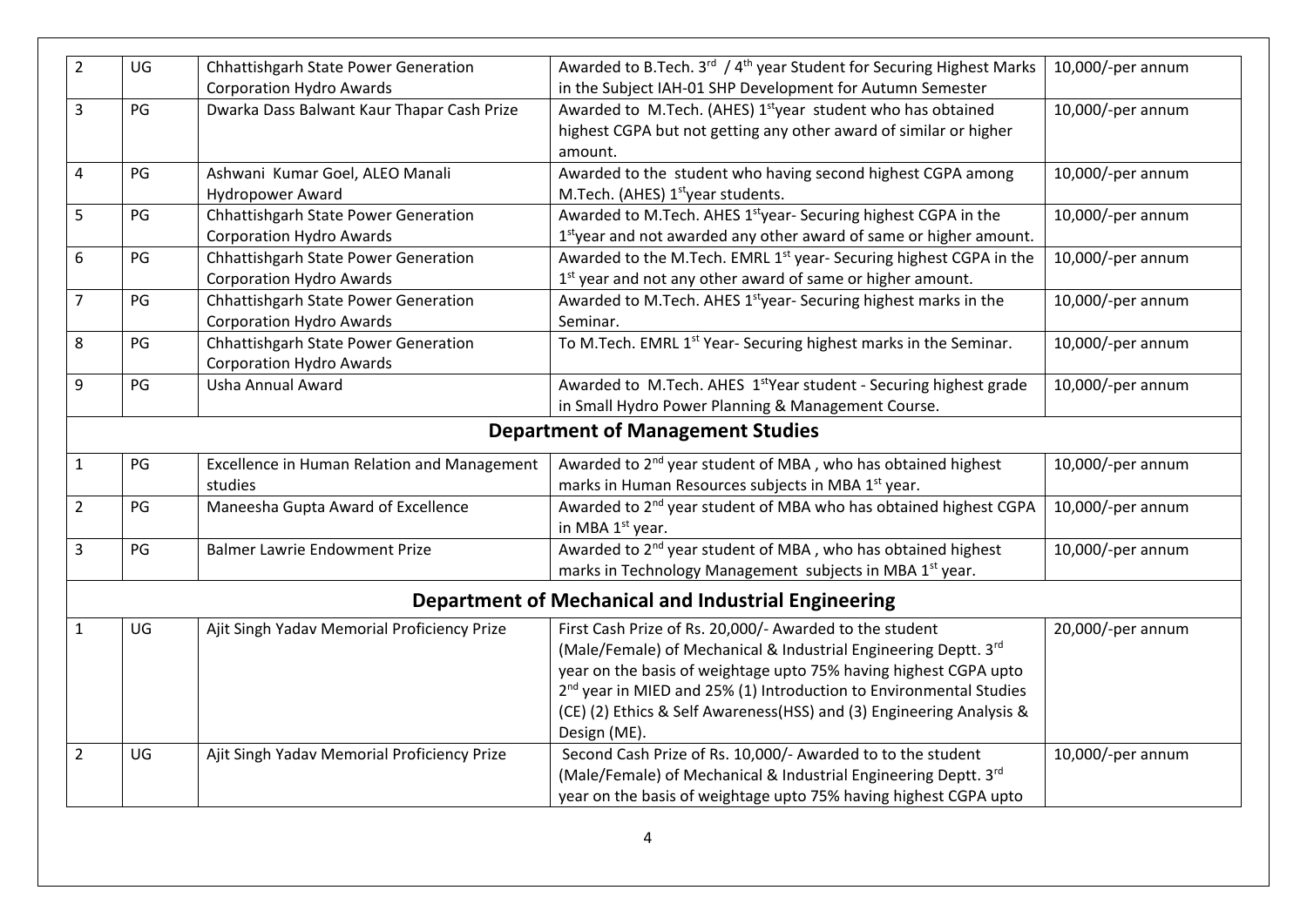| $\overline{2}$ | UG | Chhattishgarh State Power Generation               | Awarded to B.Tech. 3rd / 4 <sup>th</sup> year Student for Securing Highest Marks | 10,000/-per annum |
|----------------|----|----------------------------------------------------|----------------------------------------------------------------------------------|-------------------|
|                |    | <b>Corporation Hydro Awards</b>                    | in the Subject IAH-01 SHP Development for Autumn Semester                        |                   |
| 3              | PG | Dwarka Dass Balwant Kaur Thapar Cash Prize         | Awarded to M.Tech. (AHES) 1 <sup>st</sup> year student who has obtained          | 10,000/-per annum |
|                |    |                                                    | highest CGPA but not getting any other award of similar or higher                |                   |
|                |    |                                                    | amount.                                                                          |                   |
| $\overline{4}$ | PG | Ashwani Kumar Goel, ALEO Manali                    | Awarded to the student who having second highest CGPA among                      | 10,000/-per annum |
|                |    | <b>Hydropower Award</b>                            | M.Tech. (AHES) 1 <sup>st</sup> year students.                                    |                   |
| 5              | PG | Chhattishgarh State Power Generation               | Awarded to M.Tech. AHES 1styear- Securing highest CGPA in the                    | 10,000/-per annum |
|                |    | <b>Corporation Hydro Awards</b>                    | 1styear and not awarded any other award of same or higher amount.                |                   |
| 6              | PG | Chhattishgarh State Power Generation               | Awarded to the M.Tech. EMRL 1 <sup>st</sup> year- Securing highest CGPA in the   | 10,000/-per annum |
|                |    | <b>Corporation Hydro Awards</b>                    | 1st year and not any other award of same or higher amount.                       |                   |
| $\overline{7}$ | PG | Chhattishgarh State Power Generation               | Awarded to M.Tech. AHES 1 <sup>st</sup> year- Securing highest marks in the      | 10,000/-per annum |
|                |    | <b>Corporation Hydro Awards</b>                    | Seminar.                                                                         |                   |
| 8              | PG | Chhattishgarh State Power Generation               | To M.Tech. EMRL 1 <sup>st</sup> Year-Securing highest marks in the Seminar.      | 10,000/-per annum |
|                |    | <b>Corporation Hydro Awards</b>                    |                                                                                  |                   |
| 9              | PG | Usha Annual Award                                  | Awarded to M.Tech. AHES 1 <sup>st</sup> Year student - Securing highest grade    | 10,000/-per annum |
|                |    |                                                    | in Small Hydro Power Planning & Management Course.                               |                   |
|                |    |                                                    | <b>Department of Management Studies</b>                                          |                   |
| $\mathbf{1}$   | PG | <b>Excellence in Human Relation and Management</b> | Awarded to 2 <sup>nd</sup> year student of MBA, who has obtained highest         | 10,000/-per annum |
|                |    | studies                                            | marks in Human Resources subjects in MBA 1 <sup>st</sup> year.                   |                   |
| $\overline{2}$ | PG | Maneesha Gupta Award of Excellence                 | Awarded to 2 <sup>nd</sup> year student of MBA who has obtained highest CGPA     | 10,000/-per annum |
|                |    |                                                    | in MBA 1 <sup>st</sup> year.                                                     |                   |
| 3              | PG | <b>Balmer Lawrie Endowment Prize</b>               | Awarded to 2 <sup>nd</sup> year student of MBA, who has obtained highest         | 10,000/-per annum |
|                |    |                                                    | marks in Technology Management subjects in MBA 1 <sup>st</sup> year.             |                   |
|                |    |                                                    | <b>Department of Mechanical and Industrial Engineering</b>                       |                   |
| $\mathbf{1}$   | UG | Ajit Singh Yadav Memorial Proficiency Prize        | First Cash Prize of Rs. 20,000/- Awarded to the student                          | 20,000/-per annum |
|                |    |                                                    | (Male/Female) of Mechanical & Industrial Engineering Deptt. 3rd                  |                   |
|                |    |                                                    | year on the basis of weightage upto 75% having highest CGPA upto                 |                   |
|                |    |                                                    | 2 <sup>nd</sup> year in MIED and 25% (1) Introduction to Environmental Studies   |                   |
|                |    |                                                    | (CE) (2) Ethics & Self Awareness(HSS) and (3) Engineering Analysis &             |                   |
|                |    |                                                    | Design (ME).                                                                     |                   |
| $\overline{2}$ | UG | Ajit Singh Yadav Memorial Proficiency Prize        | Second Cash Prize of Rs. 10,000/- Awarded to to the student                      | 10,000/-per annum |
|                |    |                                                    | (Male/Female) of Mechanical & Industrial Engineering Deptt. 3rd                  |                   |
|                |    |                                                    | year on the basis of weightage upto 75% having highest CGPA upto                 |                   |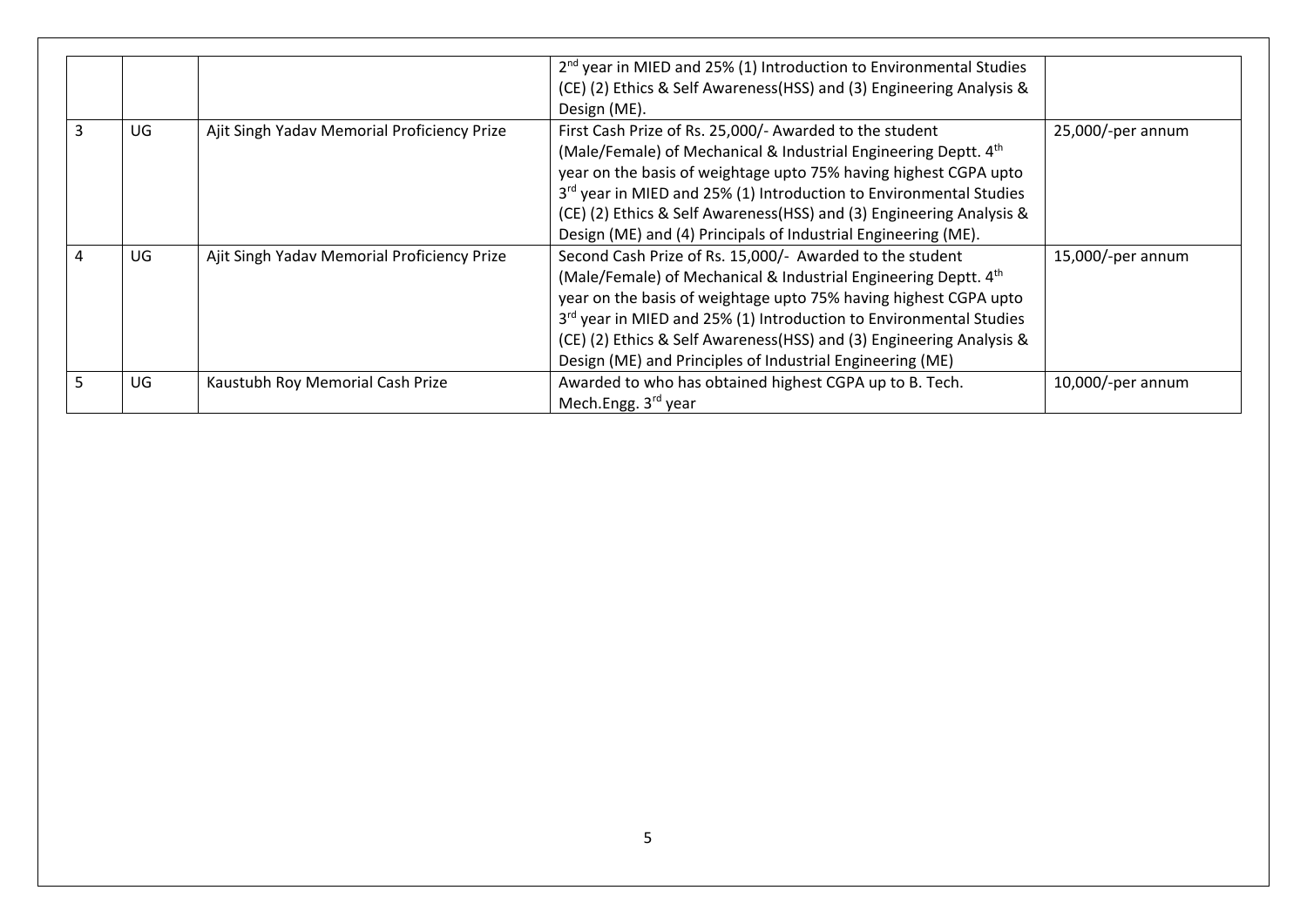|   |    |                                             | $2nd$ year in MIED and 25% (1) Introduction to Environmental Studies<br>(CE) (2) Ethics & Self Awareness (HSS) and (3) Engineering Analysis &<br>Design (ME).                                                                                                                                                                                                                                                   |                   |
|---|----|---------------------------------------------|-----------------------------------------------------------------------------------------------------------------------------------------------------------------------------------------------------------------------------------------------------------------------------------------------------------------------------------------------------------------------------------------------------------------|-------------------|
| 3 | UG | Ajit Singh Yadav Memorial Proficiency Prize | First Cash Prize of Rs. 25,000/- Awarded to the student<br>(Male/Female) of Mechanical & Industrial Engineering Deptt. 4th<br>year on the basis of weightage upto 75% having highest CGPA upto<br>3rd year in MIED and 25% (1) Introduction to Environmental Studies<br>(CE) (2) Ethics & Self Awareness (HSS) and (3) Engineering Analysis &<br>Design (ME) and (4) Principals of Industrial Engineering (ME). | 25,000/-per annum |
| 4 | UG | Ajit Singh Yadav Memorial Proficiency Prize | Second Cash Prize of Rs. 15,000/- Awarded to the student<br>(Male/Female) of Mechanical & Industrial Engineering Deptt. 4th<br>year on the basis of weightage upto 75% having highest CGPA upto<br>3rd year in MIED and 25% (1) Introduction to Environmental Studies<br>(CE) (2) Ethics & Self Awareness (HSS) and (3) Engineering Analysis &<br>Design (ME) and Principles of Industrial Engineering (ME)     | 15,000/-per annum |
| 5 | UG | Kaustubh Roy Memorial Cash Prize            | Awarded to who has obtained highest CGPA up to B. Tech.<br>Mech.Engg. 3rd year                                                                                                                                                                                                                                                                                                                                  | 10,000/-per annum |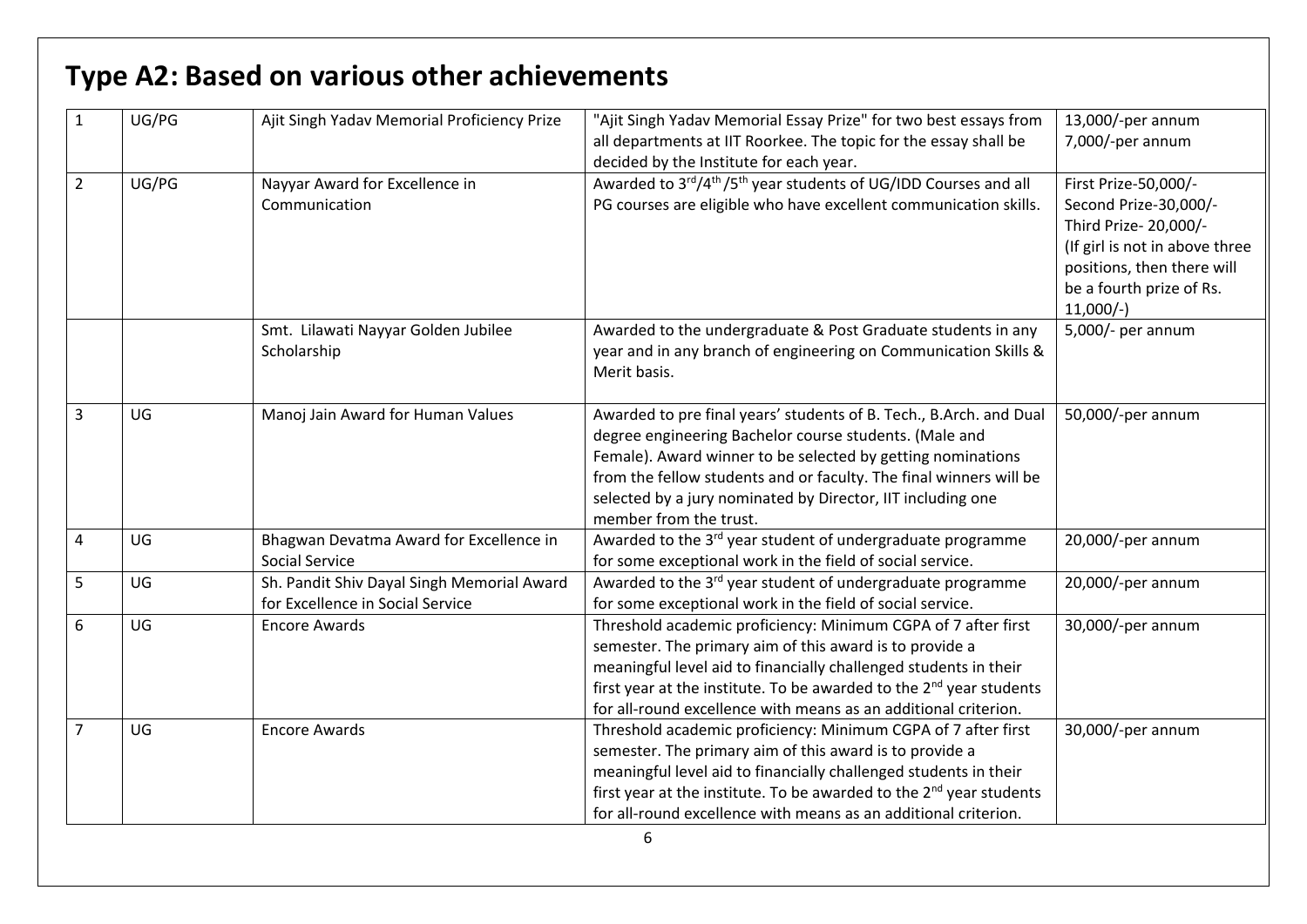|                | UG/PG | Ajit Singh Yadav Memorial Proficiency Prize                                    | "Ajit Singh Yadav Memorial Essay Prize" for two best essays from<br>all departments at IIT Roorkee. The topic for the essay shall be<br>decided by the Institute for each year.                                                                                                                                                                            | 13,000/-per annum<br>7,000/-per annum                                                                                                                                            |
|----------------|-------|--------------------------------------------------------------------------------|------------------------------------------------------------------------------------------------------------------------------------------------------------------------------------------------------------------------------------------------------------------------------------------------------------------------------------------------------------|----------------------------------------------------------------------------------------------------------------------------------------------------------------------------------|
| $\overline{2}$ | UG/PG | Nayyar Award for Excellence in<br>Communication                                | Awarded to 3rd/4 <sup>th</sup> /5 <sup>th</sup> year students of UG/IDD Courses and all<br>PG courses are eligible who have excellent communication skills.                                                                                                                                                                                                | First Prize-50,000/-<br>Second Prize-30,000/-<br>Third Prize- 20,000/-<br>(If girl is not in above three<br>positions, then there will<br>be a fourth prize of Rs.<br>$11,000/-$ |
|                |       | Smt. Lilawati Nayyar Golden Jubilee<br>Scholarship                             | Awarded to the undergraduate & Post Graduate students in any<br>year and in any branch of engineering on Communication Skills &<br>Merit basis.                                                                                                                                                                                                            | 5,000/- per annum                                                                                                                                                                |
| 3              | UG    | Manoj Jain Award for Human Values                                              | Awarded to pre final years' students of B. Tech., B.Arch. and Dual<br>degree engineering Bachelor course students. (Male and<br>Female). Award winner to be selected by getting nominations<br>from the fellow students and or faculty. The final winners will be<br>selected by a jury nominated by Director, IIT including one<br>member from the trust. | 50,000/-per annum                                                                                                                                                                |
| 4              | UG    | Bhagwan Devatma Award for Excellence in<br>Social Service                      | Awarded to the 3 <sup>rd</sup> year student of undergraduate programme<br>for some exceptional work in the field of social service.                                                                                                                                                                                                                        | 20,000/-per annum                                                                                                                                                                |
| 5              | UG    | Sh. Pandit Shiv Dayal Singh Memorial Award<br>for Excellence in Social Service | Awarded to the 3 <sup>rd</sup> year student of undergraduate programme<br>for some exceptional work in the field of social service.                                                                                                                                                                                                                        | 20,000/-per annum                                                                                                                                                                |
| 6              | UG    | <b>Encore Awards</b>                                                           | Threshold academic proficiency: Minimum CGPA of 7 after first<br>semester. The primary aim of this award is to provide a<br>meaningful level aid to financially challenged students in their<br>first year at the institute. To be awarded to the 2 <sup>nd</sup> year students<br>for all-round excellence with means as an additional criterion.         | 30,000/-per annum                                                                                                                                                                |
| $\overline{7}$ | UG    | <b>Encore Awards</b>                                                           | Threshold academic proficiency: Minimum CGPA of 7 after first<br>semester. The primary aim of this award is to provide a<br>meaningful level aid to financially challenged students in their<br>first year at the institute. To be awarded to the 2 <sup>nd</sup> year students<br>for all-round excellence with means as an additional criterion.         | 30,000/-per annum                                                                                                                                                                |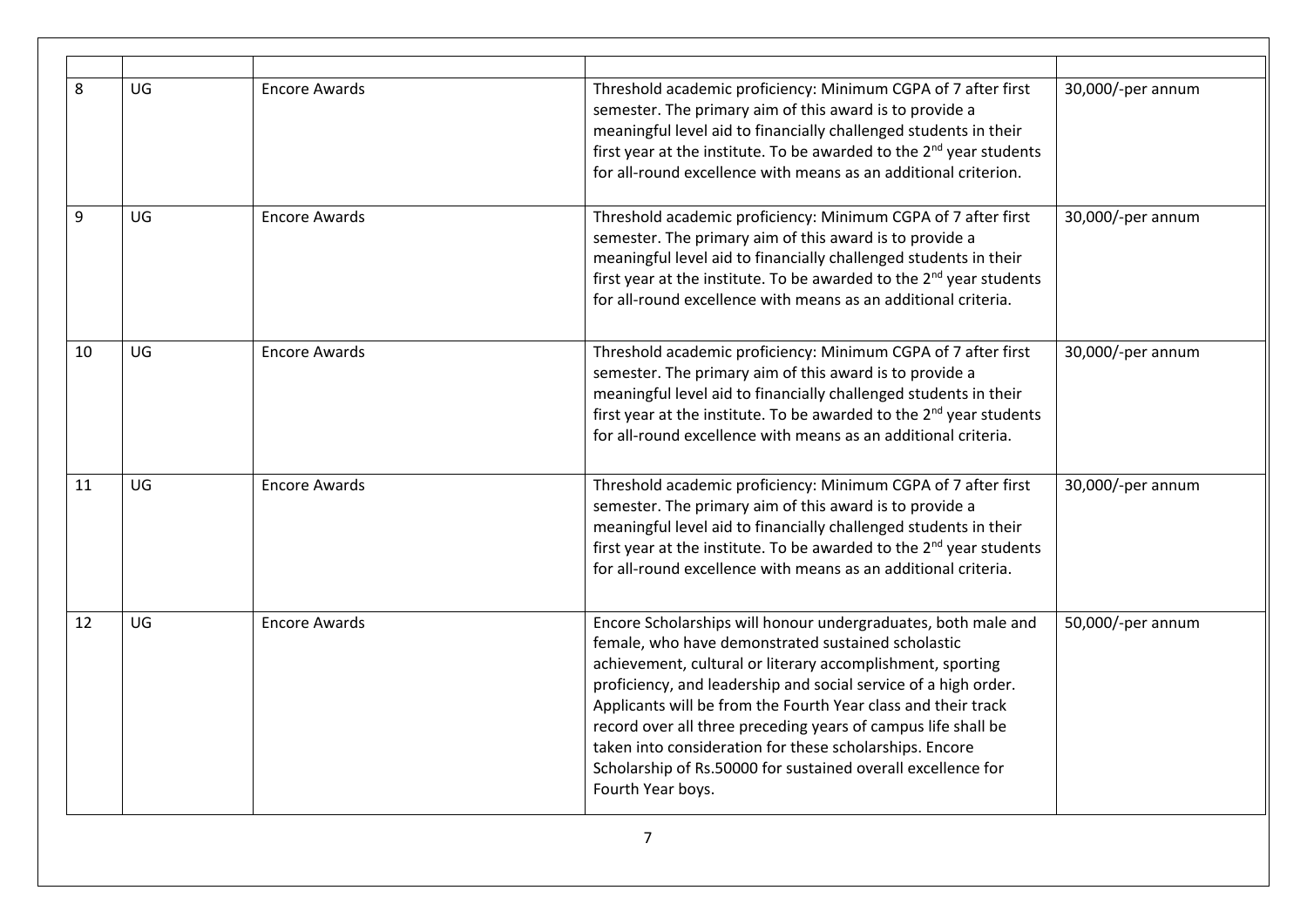| 8  | UG | <b>Encore Awards</b> | Threshold academic proficiency: Minimum CGPA of 7 after first<br>semester. The primary aim of this award is to provide a<br>meaningful level aid to financially challenged students in their<br>first year at the institute. To be awarded to the 2 <sup>nd</sup> year students<br>for all-round excellence with means as an additional criterion.                                                                                                                                                                                     | 30,000/-per annum |
|----|----|----------------------|----------------------------------------------------------------------------------------------------------------------------------------------------------------------------------------------------------------------------------------------------------------------------------------------------------------------------------------------------------------------------------------------------------------------------------------------------------------------------------------------------------------------------------------|-------------------|
| 9  | UG | <b>Encore Awards</b> | Threshold academic proficiency: Minimum CGPA of 7 after first<br>semester. The primary aim of this award is to provide a<br>meaningful level aid to financially challenged students in their<br>first year at the institute. To be awarded to the 2 <sup>nd</sup> year students<br>for all-round excellence with means as an additional criteria.                                                                                                                                                                                      | 30,000/-per annum |
| 10 | UG | <b>Encore Awards</b> | Threshold academic proficiency: Minimum CGPA of 7 after first<br>semester. The primary aim of this award is to provide a<br>meaningful level aid to financially challenged students in their<br>first year at the institute. To be awarded to the 2 <sup>nd</sup> year students<br>for all-round excellence with means as an additional criteria.                                                                                                                                                                                      | 30,000/-per annum |
| 11 | UG | <b>Encore Awards</b> | Threshold academic proficiency: Minimum CGPA of 7 after first<br>semester. The primary aim of this award is to provide a<br>meaningful level aid to financially challenged students in their<br>first year at the institute. To be awarded to the 2 <sup>nd</sup> year students<br>for all-round excellence with means as an additional criteria.                                                                                                                                                                                      | 30,000/-per annum |
| 12 | UG | <b>Encore Awards</b> | Encore Scholarships will honour undergraduates, both male and<br>female, who have demonstrated sustained scholastic<br>achievement, cultural or literary accomplishment, sporting<br>proficiency, and leadership and social service of a high order.<br>Applicants will be from the Fourth Year class and their track<br>record over all three preceding years of campus life shall be<br>taken into consideration for these scholarships. Encore<br>Scholarship of Rs.50000 for sustained overall excellence for<br>Fourth Year boys. | 50,000/-per annum |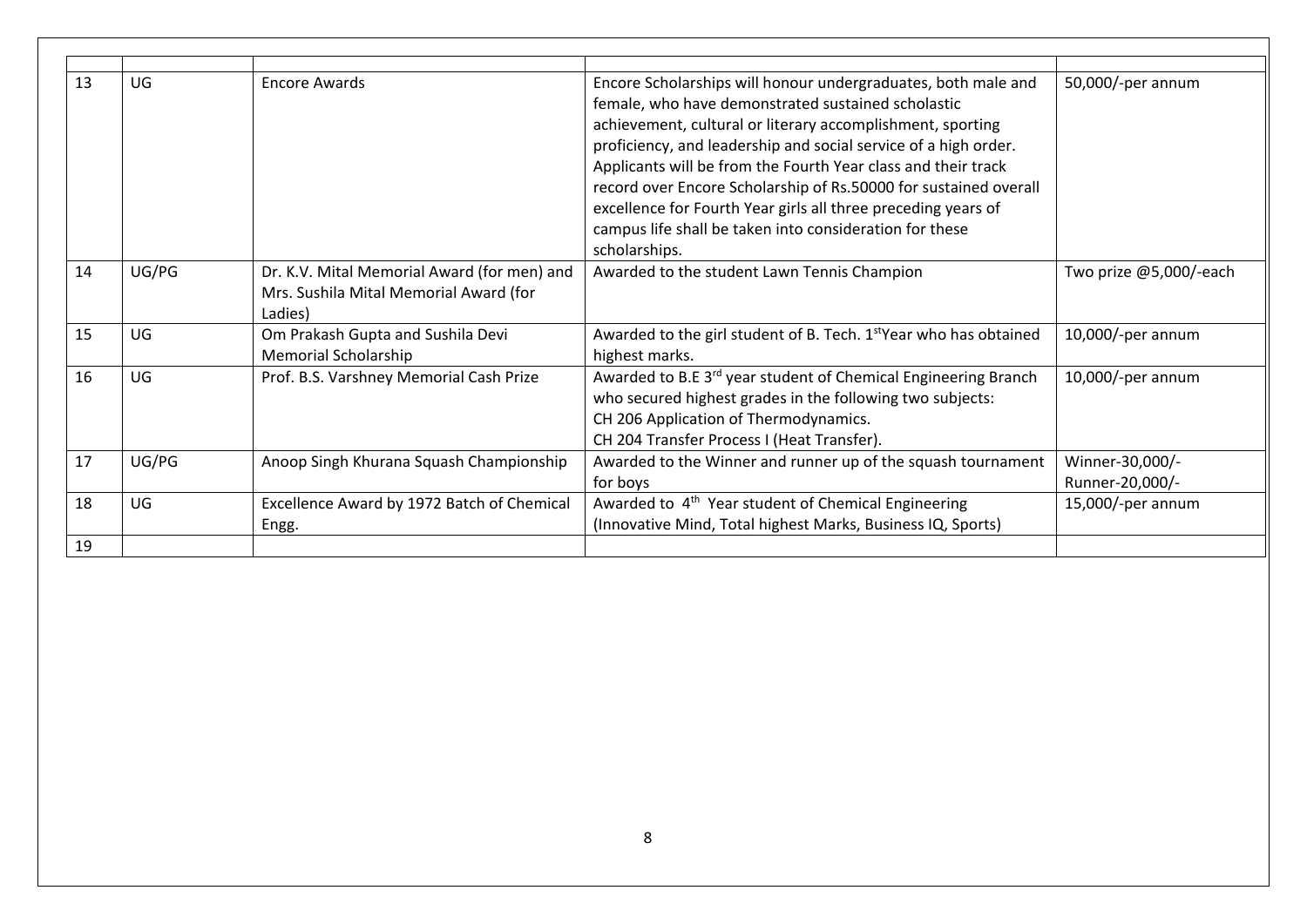| 13 | UG    | <b>Encore Awards</b>                                                                             | Encore Scholarships will honour undergraduates, both male and<br>female, who have demonstrated sustained scholastic<br>achievement, cultural or literary accomplishment, sporting<br>proficiency, and leadership and social service of a high order.<br>Applicants will be from the Fourth Year class and their track<br>record over Encore Scholarship of Rs.50000 for sustained overall<br>excellence for Fourth Year girls all three preceding years of<br>campus life shall be taken into consideration for these<br>scholarships. | 50,000/-per annum                  |
|----|-------|--------------------------------------------------------------------------------------------------|----------------------------------------------------------------------------------------------------------------------------------------------------------------------------------------------------------------------------------------------------------------------------------------------------------------------------------------------------------------------------------------------------------------------------------------------------------------------------------------------------------------------------------------|------------------------------------|
| 14 | UG/PG | Dr. K.V. Mital Memorial Award (for men) and<br>Mrs. Sushila Mital Memorial Award (for<br>Ladies) | Awarded to the student Lawn Tennis Champion                                                                                                                                                                                                                                                                                                                                                                                                                                                                                            | Two prize @5,000/-each             |
| 15 | UG    | Om Prakash Gupta and Sushila Devi<br><b>Memorial Scholarship</b>                                 | Awarded to the girl student of B. Tech. 1 <sup>st</sup> Year who has obtained<br>highest marks.                                                                                                                                                                                                                                                                                                                                                                                                                                        | 10,000/-per annum                  |
| 16 | UG    | Prof. B.S. Varshney Memorial Cash Prize                                                          | Awarded to B.E 3 <sup>rd</sup> year student of Chemical Engineering Branch<br>who secured highest grades in the following two subjects:<br>CH 206 Application of Thermodynamics.<br>CH 204 Transfer Process I (Heat Transfer).                                                                                                                                                                                                                                                                                                         | 10,000/-per annum                  |
| 17 | UG/PG | Anoop Singh Khurana Squash Championship                                                          | Awarded to the Winner and runner up of the squash tournament<br>for boys                                                                                                                                                                                                                                                                                                                                                                                                                                                               | Winner-30,000/-<br>Runner-20,000/- |
| 18 | UG    | Excellence Award by 1972 Batch of Chemical<br>Engg.                                              | Awarded to 4 <sup>th</sup> Year student of Chemical Engineering<br>(Innovative Mind, Total highest Marks, Business IQ, Sports)                                                                                                                                                                                                                                                                                                                                                                                                         | 15,000/-per annum                  |
| 19 |       |                                                                                                  |                                                                                                                                                                                                                                                                                                                                                                                                                                                                                                                                        |                                    |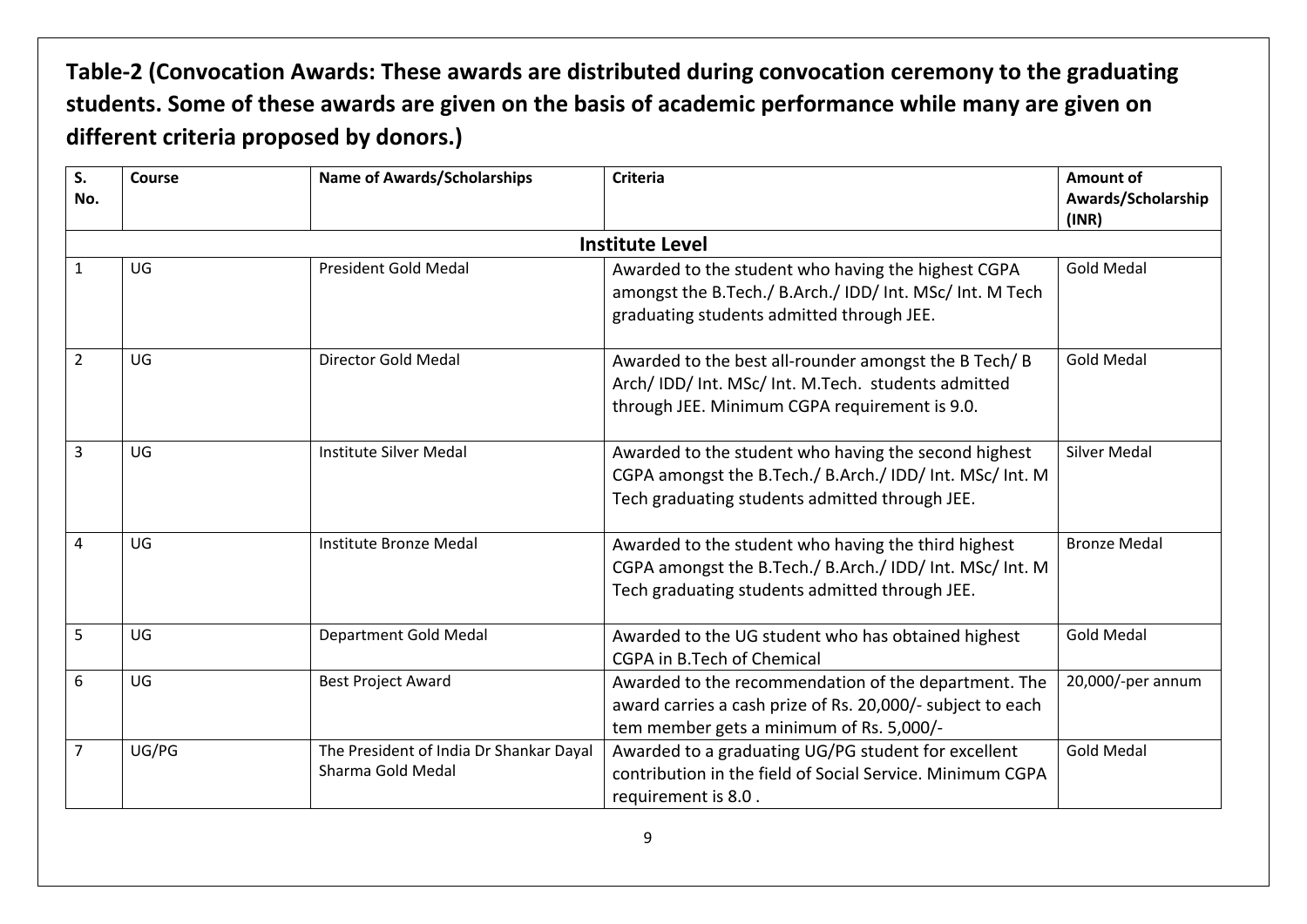# **Table-2 (Convocation Awards: These awards are distributed during convocation ceremony to the graduating students. Some of these awards are given on the basis of academic performance while many are given on different criteria proposed by donors.)**

| S.<br>No.      | <b>Course</b> | <b>Name of Awards/Scholarships</b>                           | <b>Criteria</b>                                                                                                                                                    | Amount of<br>Awards/Scholarship<br>(INR) |
|----------------|---------------|--------------------------------------------------------------|--------------------------------------------------------------------------------------------------------------------------------------------------------------------|------------------------------------------|
|                |               |                                                              | <b>Institute Level</b>                                                                                                                                             |                                          |
| $\mathbf{1}$   | UG            | President Gold Medal                                         | Awarded to the student who having the highest CGPA<br>amongst the B.Tech./ B.Arch./ IDD/ Int. MSc/ Int. M Tech<br>graduating students admitted through JEE.        | <b>Gold Medal</b>                        |
| $\overline{2}$ | UG            | Director Gold Medal                                          | Awarded to the best all-rounder amongst the B Tech/ B<br>Arch/ IDD/ Int. MSc/ Int. M.Tech. students admitted<br>through JEE. Minimum CGPA requirement is 9.0.      | <b>Gold Medal</b>                        |
| 3              | UG            | <b>Institute Silver Medal</b>                                | Awarded to the student who having the second highest<br>CGPA amongst the B.Tech./ B.Arch./ IDD/ Int. MSc/ Int. M<br>Tech graduating students admitted through JEE. | <b>Silver Medal</b>                      |
| 4              | UG            | Institute Bronze Medal                                       | Awarded to the student who having the third highest<br>CGPA amongst the B.Tech./ B.Arch./ IDD/ Int. MSc/ Int. M<br>Tech graduating students admitted through JEE.  | <b>Bronze Medal</b>                      |
| 5              | UG            | Department Gold Medal                                        | Awarded to the UG student who has obtained highest<br>CGPA in B.Tech of Chemical                                                                                   | <b>Gold Medal</b>                        |
| 6              | UG            | <b>Best Project Award</b>                                    | Awarded to the recommendation of the department. The<br>award carries a cash prize of Rs. 20,000/- subject to each<br>tem member gets a minimum of Rs. 5,000/-     | 20,000/-per annum                        |
| $\overline{7}$ | UG/PG         | The President of India Dr Shankar Dayal<br>Sharma Gold Medal | Awarded to a graduating UG/PG student for excellent<br>contribution in the field of Social Service. Minimum CGPA<br>requirement is 8.0.                            | <b>Gold Medal</b>                        |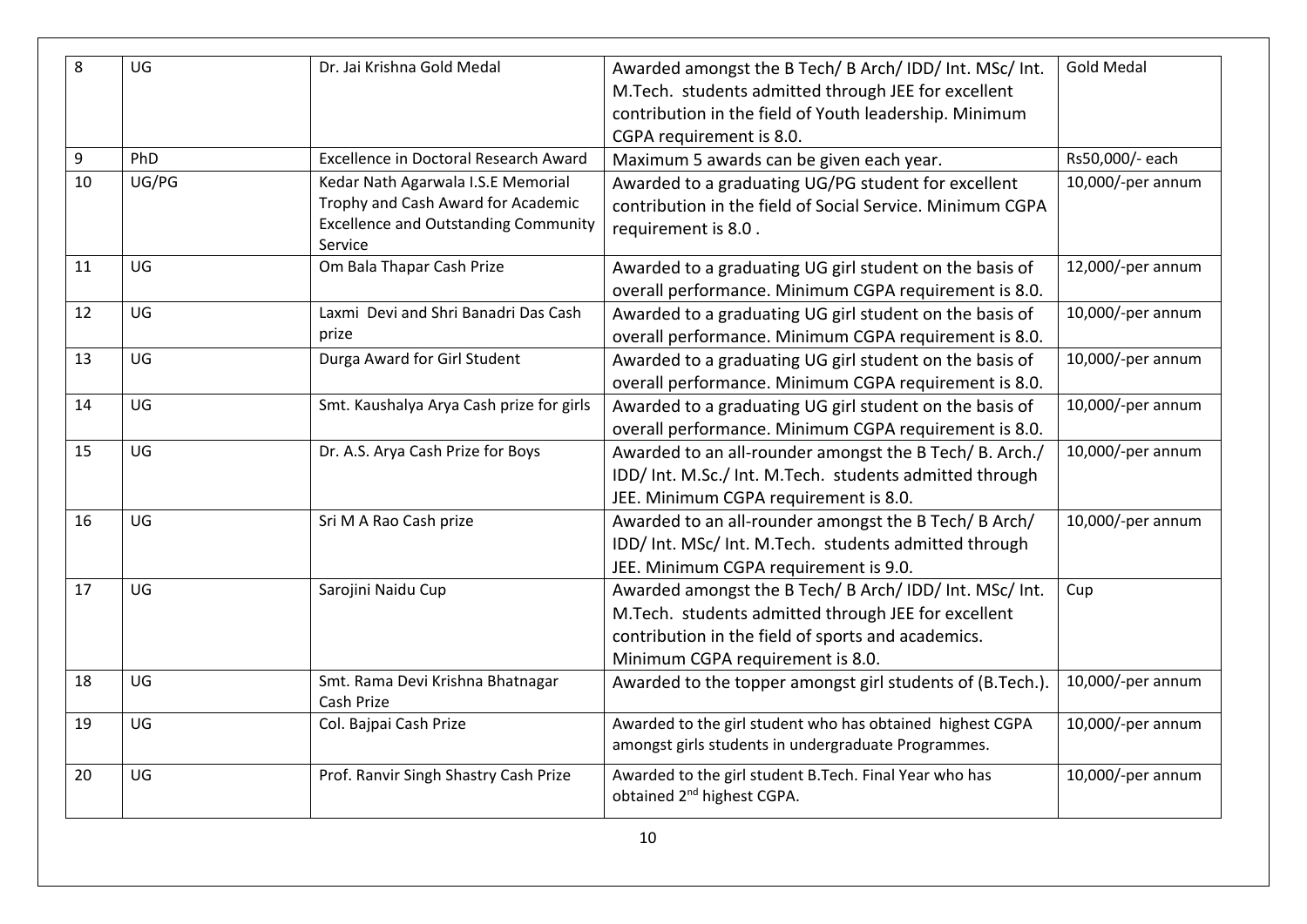| 8  | UG    | Dr. Jai Krishna Gold Medal                             | Awarded amongst the B Tech/ B Arch/ IDD/ Int. MSc/ Int.                                                          | <b>Gold Medal</b> |
|----|-------|--------------------------------------------------------|------------------------------------------------------------------------------------------------------------------|-------------------|
|    |       |                                                        | M.Tech. students admitted through JEE for excellent                                                              |                   |
|    |       |                                                        | contribution in the field of Youth leadership. Minimum                                                           |                   |
|    |       |                                                        | CGPA requirement is 8.0.                                                                                         |                   |
| 9  | PhD   | <b>Excellence in Doctoral Research Award</b>           | Maximum 5 awards can be given each year.                                                                         | Rs50,000/- each   |
| 10 | UG/PG | Kedar Nath Agarwala I.S.E Memorial                     | Awarded to a graduating UG/PG student for excellent                                                              | 10,000/-per annum |
|    |       | Trophy and Cash Award for Academic                     | contribution in the field of Social Service. Minimum CGPA                                                        |                   |
|    |       | <b>Excellence and Outstanding Community</b><br>Service | requirement is 8.0.                                                                                              |                   |
| 11 | UG    | Om Bala Thapar Cash Prize                              | Awarded to a graduating UG girl student on the basis of                                                          | 12,000/-per annum |
|    |       |                                                        | overall performance. Minimum CGPA requirement is 8.0.                                                            |                   |
| 12 | UG    | Laxmi Devi and Shri Banadri Das Cash                   | Awarded to a graduating UG girl student on the basis of                                                          | 10,000/-per annum |
|    |       | prize                                                  | overall performance. Minimum CGPA requirement is 8.0.                                                            |                   |
| 13 | UG    | Durga Award for Girl Student                           | Awarded to a graduating UG girl student on the basis of                                                          | 10,000/-per annum |
|    |       |                                                        | overall performance. Minimum CGPA requirement is 8.0.                                                            |                   |
| 14 | UG    | Smt. Kaushalya Arya Cash prize for girls               | Awarded to a graduating UG girl student on the basis of                                                          | 10,000/-per annum |
|    |       |                                                        | overall performance. Minimum CGPA requirement is 8.0.                                                            |                   |
| 15 | UG    | Dr. A.S. Arya Cash Prize for Boys                      | Awarded to an all-rounder amongst the B Tech/B. Arch./                                                           | 10,000/-per annum |
|    |       |                                                        | IDD/ Int. M.Sc./ Int. M.Tech. students admitted through                                                          |                   |
|    |       |                                                        | JEE. Minimum CGPA requirement is 8.0.                                                                            |                   |
| 16 | UG    | Sri M A Rao Cash prize                                 | Awarded to an all-rounder amongst the B Tech/ B Arch/                                                            | 10,000/-per annum |
|    |       |                                                        | IDD/ Int. MSc/ Int. M.Tech. students admitted through                                                            |                   |
|    |       |                                                        | JEE. Minimum CGPA requirement is 9.0.                                                                            |                   |
| 17 | UG    | Sarojini Naidu Cup                                     | Awarded amongst the B Tech/ B Arch/ IDD/ Int. MSc/ Int.                                                          | Cup               |
|    |       |                                                        | M.Tech. students admitted through JEE for excellent                                                              |                   |
|    |       |                                                        | contribution in the field of sports and academics.                                                               |                   |
|    |       |                                                        | Minimum CGPA requirement is 8.0.                                                                                 |                   |
| 18 | UG    | Smt. Rama Devi Krishna Bhatnagar                       | Awarded to the topper amongst girl students of (B.Tech.)                                                         | 10,000/-per annum |
| 19 | UG    | Cash Prize                                             |                                                                                                                  |                   |
|    |       | Col. Bajpai Cash Prize                                 | Awarded to the girl student who has obtained highest CGPA<br>amongst girls students in undergraduate Programmes. | 10,000/-per annum |
|    |       |                                                        |                                                                                                                  |                   |
| 20 | UG    | Prof. Ranvir Singh Shastry Cash Prize                  | Awarded to the girl student B.Tech. Final Year who has                                                           | 10,000/-per annum |
|    |       |                                                        | obtained 2 <sup>nd</sup> highest CGPA.                                                                           |                   |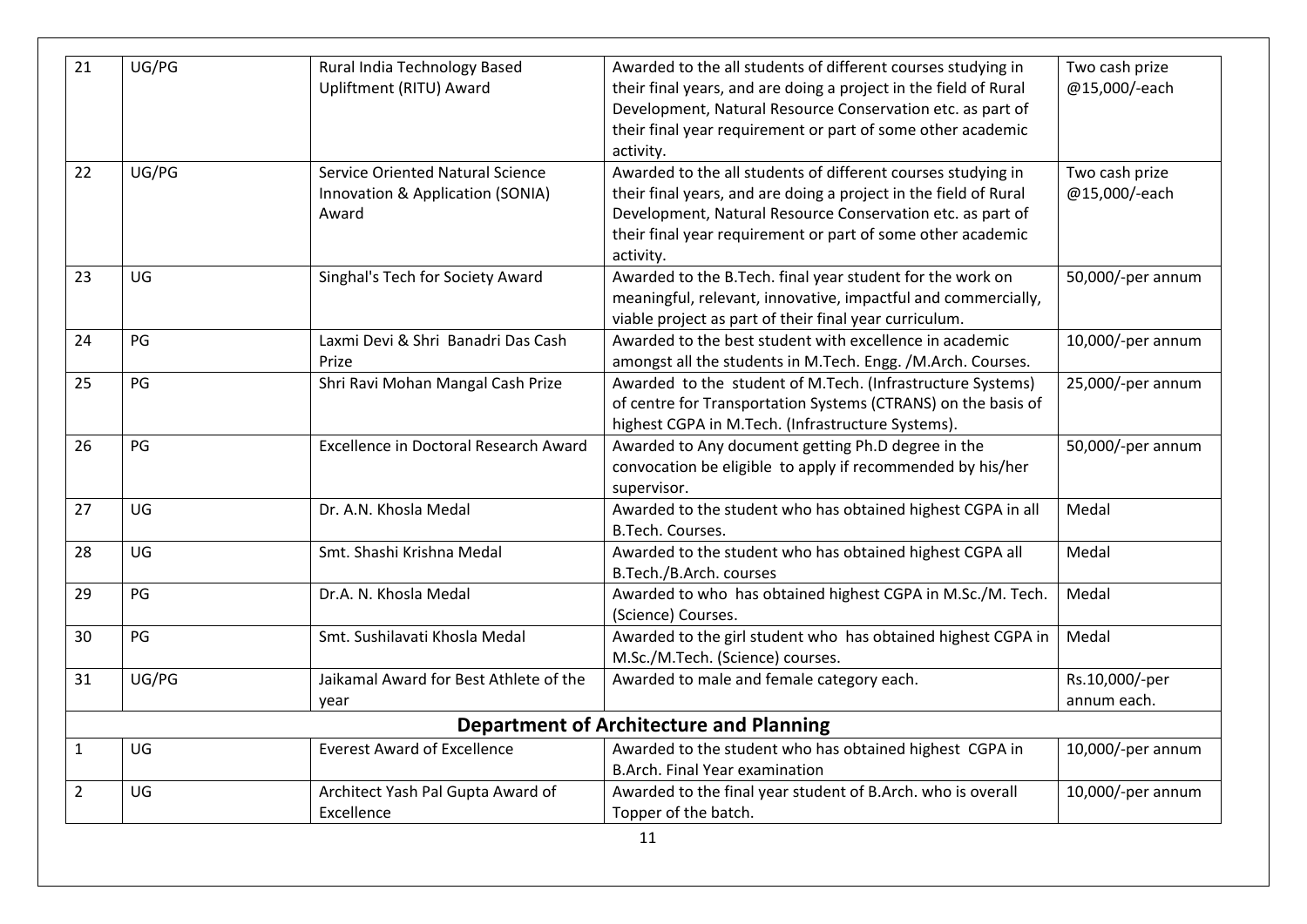| 21             | UG/PG | Rural India Technology Based                 | Awarded to the all students of different courses studying in                    | Two cash prize    |
|----------------|-------|----------------------------------------------|---------------------------------------------------------------------------------|-------------------|
|                |       | Upliftment (RITU) Award                      | their final years, and are doing a project in the field of Rural                | @15,000/-each     |
|                |       |                                              | Development, Natural Resource Conservation etc. as part of                      |                   |
|                |       |                                              | their final year requirement or part of some other academic                     |                   |
|                |       |                                              | activity.                                                                       |                   |
| 22             | UG/PG | <b>Service Oriented Natural Science</b>      | Awarded to the all students of different courses studying in                    | Two cash prize    |
|                |       | Innovation & Application (SONIA)             | their final years, and are doing a project in the field of Rural                | @15,000/-each     |
|                |       | Award                                        | Development, Natural Resource Conservation etc. as part of                      |                   |
|                |       |                                              | their final year requirement or part of some other academic                     |                   |
|                |       |                                              | activity.                                                                       |                   |
| 23             | UG    | Singhal's Tech for Society Award             | Awarded to the B.Tech. final year student for the work on                       | 50,000/-per annum |
|                |       |                                              | meaningful, relevant, innovative, impactful and commercially,                   |                   |
|                |       |                                              | viable project as part of their final year curriculum.                          |                   |
| 24             | PG    | Laxmi Devi & Shri Banadri Das Cash           | Awarded to the best student with excellence in academic                         | 10,000/-per annum |
|                |       | Prize                                        | amongst all the students in M.Tech. Engg. /M.Arch. Courses.                     |                   |
| 25             | PG    | Shri Ravi Mohan Mangal Cash Prize            | Awarded to the student of M.Tech. (Infrastructure Systems)                      | 25,000/-per annum |
|                |       |                                              | of centre for Transportation Systems (CTRANS) on the basis of                   |                   |
|                |       |                                              | highest CGPA in M.Tech. (Infrastructure Systems).                               |                   |
| 26             | PG    | <b>Excellence in Doctoral Research Award</b> | Awarded to Any document getting Ph.D degree in the                              | 50,000/-per annum |
|                |       |                                              | convocation be eligible to apply if recommended by his/her                      |                   |
|                |       |                                              | supervisor.                                                                     |                   |
| 27             | UG    | Dr. A.N. Khosla Medal                        | Awarded to the student who has obtained highest CGPA in all<br>B.Tech. Courses. | Medal             |
| 28             | UG    | Smt. Shashi Krishna Medal                    | Awarded to the student who has obtained highest CGPA all                        | Medal             |
|                |       |                                              | B.Tech./B.Arch. courses                                                         |                   |
| 29             | PG    | Dr.A. N. Khosla Medal                        | Awarded to who has obtained highest CGPA in M.Sc./M. Tech.                      | Medal             |
|                |       |                                              | (Science) Courses.                                                              |                   |
| 30             | PG    | Smt. Sushilavati Khosla Medal                | Awarded to the girl student who has obtained highest CGPA in                    | Medal             |
|                |       |                                              | M.Sc./M.Tech. (Science) courses.                                                |                   |
| 31             | UG/PG | Jaikamal Award for Best Athlete of the       | Awarded to male and female category each.                                       | Rs.10,000/-per    |
|                |       | year                                         |                                                                                 | annum each.       |
|                |       |                                              | <b>Department of Architecture and Planning</b>                                  |                   |
|                |       | <b>Everest Award of Excellence</b>           |                                                                                 |                   |
| $\mathbf{1}$   | UG    |                                              | Awarded to the student who has obtained highest CGPA in                         | 10,000/-per annum |
|                | UG    |                                              | B.Arch. Final Year examination                                                  |                   |
| $\overline{2}$ |       | Architect Yash Pal Gupta Award of            | Awarded to the final year student of B.Arch. who is overall                     | 10,000/-per annum |
|                |       | Excellence                                   | Topper of the batch.                                                            |                   |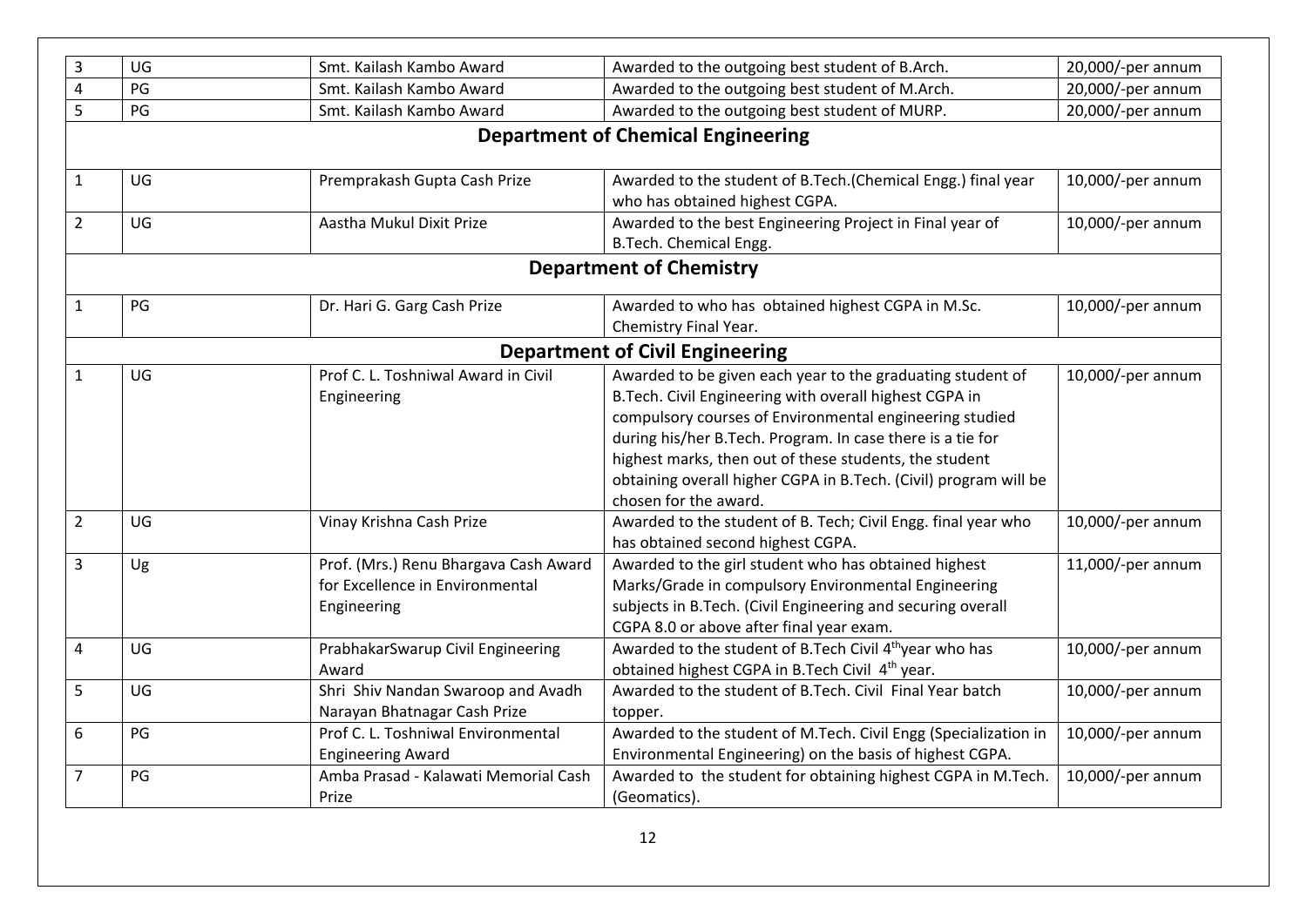| 3              | UG | Smt. Kailash Kambo Award                                                                | Awarded to the outgoing best student of B.Arch.                                                                                                                                                                                                                                                                                                                                                      | 20,000/-per annum |
|----------------|----|-----------------------------------------------------------------------------------------|------------------------------------------------------------------------------------------------------------------------------------------------------------------------------------------------------------------------------------------------------------------------------------------------------------------------------------------------------------------------------------------------------|-------------------|
| 4              | PG | Smt. Kailash Kambo Award                                                                | Awarded to the outgoing best student of M.Arch.                                                                                                                                                                                                                                                                                                                                                      | 20,000/-per annum |
| 5              | PG | Smt. Kailash Kambo Award                                                                | Awarded to the outgoing best student of MURP.                                                                                                                                                                                                                                                                                                                                                        | 20,000/-per annum |
|                |    |                                                                                         | <b>Department of Chemical Engineering</b>                                                                                                                                                                                                                                                                                                                                                            |                   |
| $\mathbf{1}$   | UG | Premprakash Gupta Cash Prize                                                            | Awarded to the student of B.Tech.(Chemical Engg.) final year<br>who has obtained highest CGPA.                                                                                                                                                                                                                                                                                                       | 10,000/-per annum |
| $\overline{2}$ | UG | Aastha Mukul Dixit Prize                                                                | Awarded to the best Engineering Project in Final year of<br>B.Tech. Chemical Engg.                                                                                                                                                                                                                                                                                                                   | 10,000/-per annum |
|                |    |                                                                                         | <b>Department of Chemistry</b>                                                                                                                                                                                                                                                                                                                                                                       |                   |
| $\mathbf{1}$   | PG | Dr. Hari G. Garg Cash Prize                                                             | Awarded to who has obtained highest CGPA in M.Sc.<br>Chemistry Final Year.                                                                                                                                                                                                                                                                                                                           | 10,000/-per annum |
|                |    |                                                                                         | <b>Department of Civil Engineering</b>                                                                                                                                                                                                                                                                                                                                                               |                   |
| $\mathbf{1}$   | UG | Prof C. L. Toshniwal Award in Civil<br>Engineering                                      | Awarded to be given each year to the graduating student of<br>B.Tech. Civil Engineering with overall highest CGPA in<br>compulsory courses of Environmental engineering studied<br>during his/her B.Tech. Program. In case there is a tie for<br>highest marks, then out of these students, the student<br>obtaining overall higher CGPA in B.Tech. (Civil) program will be<br>chosen for the award. | 10,000/-per annum |
| $\overline{2}$ | UG | Vinay Krishna Cash Prize                                                                | Awarded to the student of B. Tech; Civil Engg. final year who<br>has obtained second highest CGPA.                                                                                                                                                                                                                                                                                                   | 10,000/-per annum |
| $\overline{3}$ | Ug | Prof. (Mrs.) Renu Bhargava Cash Award<br>for Excellence in Environmental<br>Engineering | Awarded to the girl student who has obtained highest<br>Marks/Grade in compulsory Environmental Engineering<br>subjects in B.Tech. (Civil Engineering and securing overall<br>CGPA 8.0 or above after final year exam.                                                                                                                                                                               | 11,000/-per annum |
| 4              | UG | PrabhakarSwarup Civil Engineering<br>Award                                              | Awarded to the student of B.Tech Civil 4 <sup>th</sup> year who has<br>obtained highest CGPA in B.Tech Civil 4 <sup>th</sup> year.                                                                                                                                                                                                                                                                   | 10,000/-per annum |
| 5              | UG | Shri Shiv Nandan Swaroop and Avadh<br>Narayan Bhatnagar Cash Prize                      | Awarded to the student of B.Tech. Civil Final Year batch<br>topper.                                                                                                                                                                                                                                                                                                                                  | 10,000/-per annum |
| 6              | PG | Prof C. L. Toshniwal Environmental<br><b>Engineering Award</b>                          | Awarded to the student of M.Tech. Civil Engg (Specialization in<br>Environmental Engineering) on the basis of highest CGPA.                                                                                                                                                                                                                                                                          | 10,000/-per annum |
| $\overline{7}$ | PG | Amba Prasad - Kalawati Memorial Cash<br>Prize                                           | Awarded to the student for obtaining highest CGPA in M.Tech.<br>(Geomatics).                                                                                                                                                                                                                                                                                                                         | 10,000/-per annum |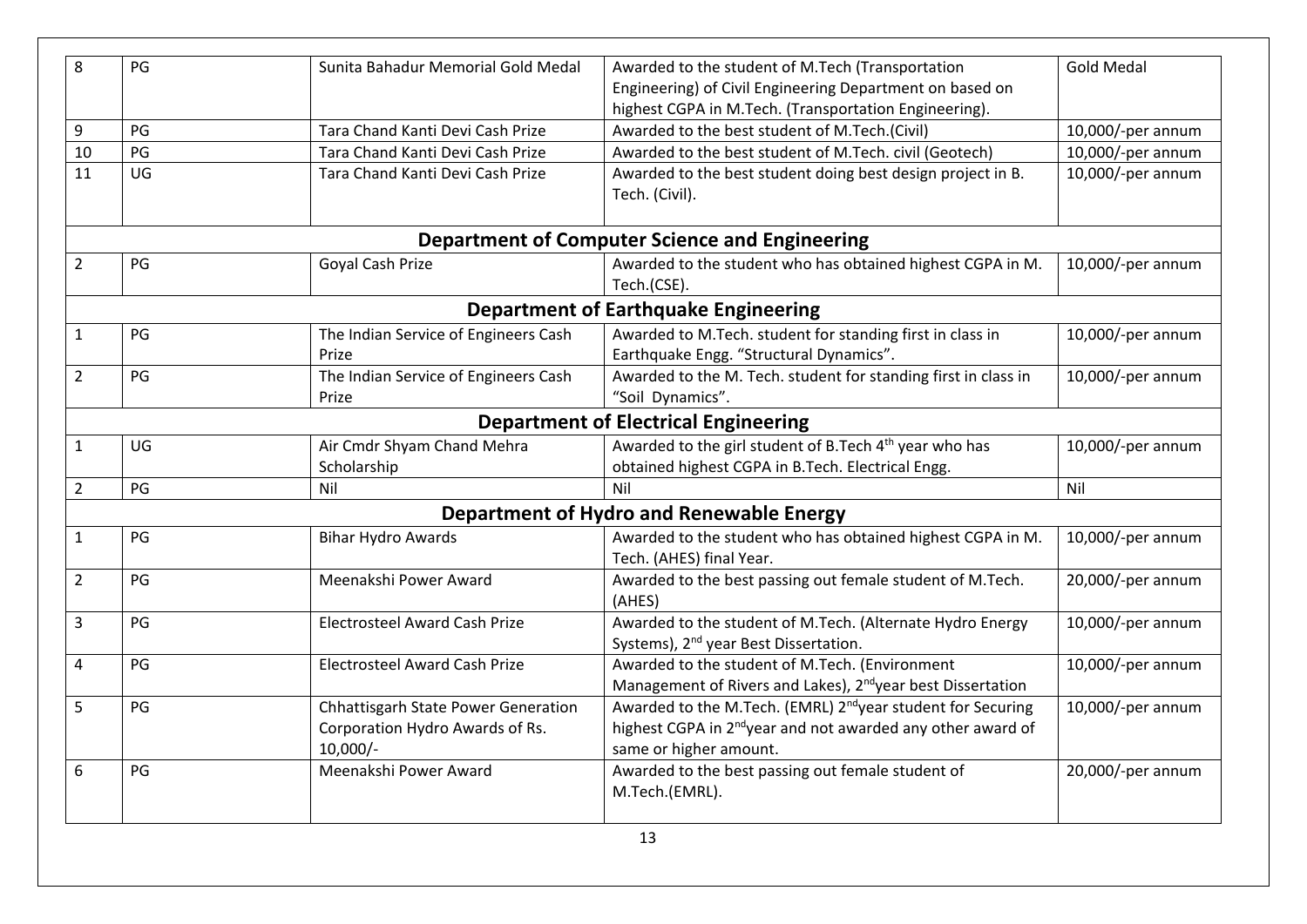| 8              | PG | Sunita Bahadur Memorial Gold Medal                                                   | Awarded to the student of M.Tech (Transportation                                                                                                                             | <b>Gold Medal</b> |
|----------------|----|--------------------------------------------------------------------------------------|------------------------------------------------------------------------------------------------------------------------------------------------------------------------------|-------------------|
|                |    |                                                                                      | Engineering) of Civil Engineering Department on based on                                                                                                                     |                   |
|                |    |                                                                                      | highest CGPA in M.Tech. (Transportation Engineering).                                                                                                                        |                   |
| 9              | PG | Tara Chand Kanti Devi Cash Prize                                                     | Awarded to the best student of M.Tech.(Civil)                                                                                                                                | 10,000/-per annum |
| 10             | PG | Tara Chand Kanti Devi Cash Prize                                                     | Awarded to the best student of M.Tech. civil (Geotech)                                                                                                                       | 10,000/-per annum |
| 11             | UG | Tara Chand Kanti Devi Cash Prize                                                     | Awarded to the best student doing best design project in B.<br>Tech. (Civil).                                                                                                | 10,000/-per annum |
|                |    |                                                                                      | <b>Department of Computer Science and Engineering</b>                                                                                                                        |                   |
| $\overline{2}$ | PG | Goyal Cash Prize                                                                     | Awarded to the student who has obtained highest CGPA in M.<br>Tech.(CSE).                                                                                                    | 10,000/-per annum |
|                |    |                                                                                      | <b>Department of Earthquake Engineering</b>                                                                                                                                  |                   |
| $\mathbf{1}$   | PG | The Indian Service of Engineers Cash<br>Prize                                        | Awarded to M.Tech. student for standing first in class in<br>Earthquake Engg. "Structural Dynamics".                                                                         | 10,000/-per annum |
| $\overline{2}$ | PG | The Indian Service of Engineers Cash<br>Prize                                        | Awarded to the M. Tech. student for standing first in class in<br>"Soil Dynamics".                                                                                           | 10,000/-per annum |
|                |    |                                                                                      | <b>Department of Electrical Engineering</b>                                                                                                                                  |                   |
| $\mathbf{1}$   | UG | Air Cmdr Shyam Chand Mehra<br>Scholarship                                            | Awarded to the girl student of B.Tech 4 <sup>th</sup> year who has<br>obtained highest CGPA in B.Tech. Electrical Engg.                                                      | 10,000/-per annum |
| $\overline{2}$ | PG | Nil                                                                                  | Nil                                                                                                                                                                          | Nil               |
|                |    |                                                                                      | <b>Department of Hydro and Renewable Energy</b>                                                                                                                              |                   |
| $\mathbf{1}$   | PG | <b>Bihar Hydro Awards</b>                                                            | Awarded to the student who has obtained highest CGPA in M.<br>Tech. (AHES) final Year.                                                                                       | 10,000/-per annum |
| $\overline{2}$ | PG | Meenakshi Power Award                                                                | Awarded to the best passing out female student of M.Tech.<br>(AHES)                                                                                                          | 20,000/-per annum |
| 3              | PG | <b>Electrosteel Award Cash Prize</b>                                                 | Awarded to the student of M.Tech. (Alternate Hydro Energy<br>Systems), 2 <sup>nd</sup> year Best Dissertation.                                                               | 10,000/-per annum |
| 4              | PG | <b>Electrosteel Award Cash Prize</b>                                                 | Awarded to the student of M.Tech. (Environment<br>Management of Rivers and Lakes), 2 <sup>nd</sup> year best Dissertation                                                    | 10,000/-per annum |
| 5              | PG | Chhattisgarh State Power Generation<br>Corporation Hydro Awards of Rs.<br>$10,000/-$ | Awarded to the M.Tech. (EMRL) 2 <sup>nd</sup> year student for Securing<br>highest CGPA in 2 <sup>nd</sup> year and not awarded any other award of<br>same or higher amount. | 10,000/-per annum |
| 6              | PG | Meenakshi Power Award                                                                | Awarded to the best passing out female student of<br>M.Tech.(EMRL).                                                                                                          | 20,000/-per annum |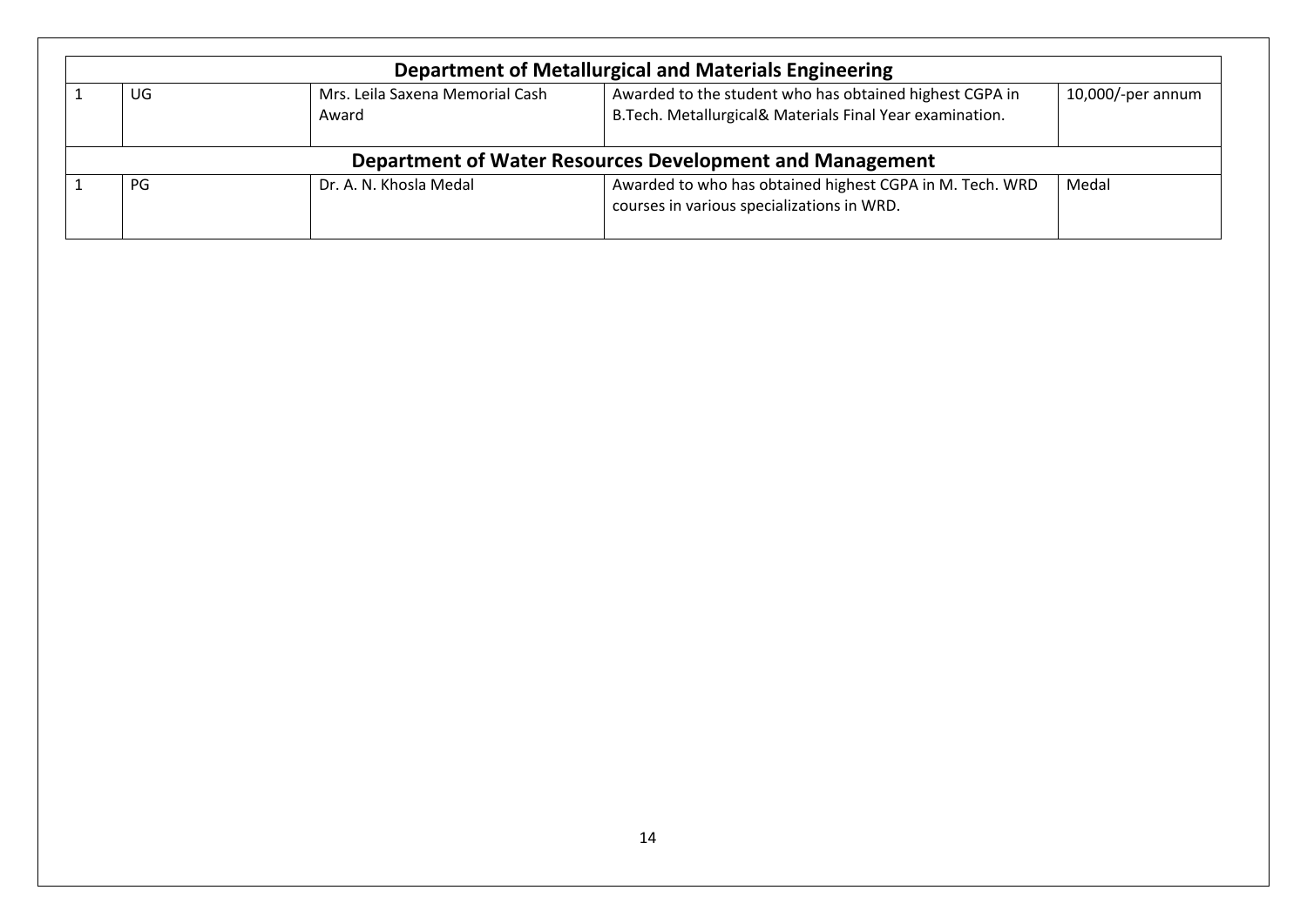|                                                          | <b>Department of Metallurgical and Materials Engineering</b> |                                          |                                                                                                                      |                   |  |  |  |  |
|----------------------------------------------------------|--------------------------------------------------------------|------------------------------------------|----------------------------------------------------------------------------------------------------------------------|-------------------|--|--|--|--|
|                                                          | UG.                                                          | Mrs. Leila Saxena Memorial Cash<br>Award | Awarded to the student who has obtained highest CGPA in<br>B. Tech. Metallurgical& Materials Final Year examination. | 10,000/-per annum |  |  |  |  |
| Department of Water Resources Development and Management |                                                              |                                          |                                                                                                                      |                   |  |  |  |  |
|                                                          | PG                                                           | Dr. A. N. Khosla Medal                   | Awarded to who has obtained highest CGPA in M. Tech. WRD<br>courses in various specializations in WRD.               | Medal             |  |  |  |  |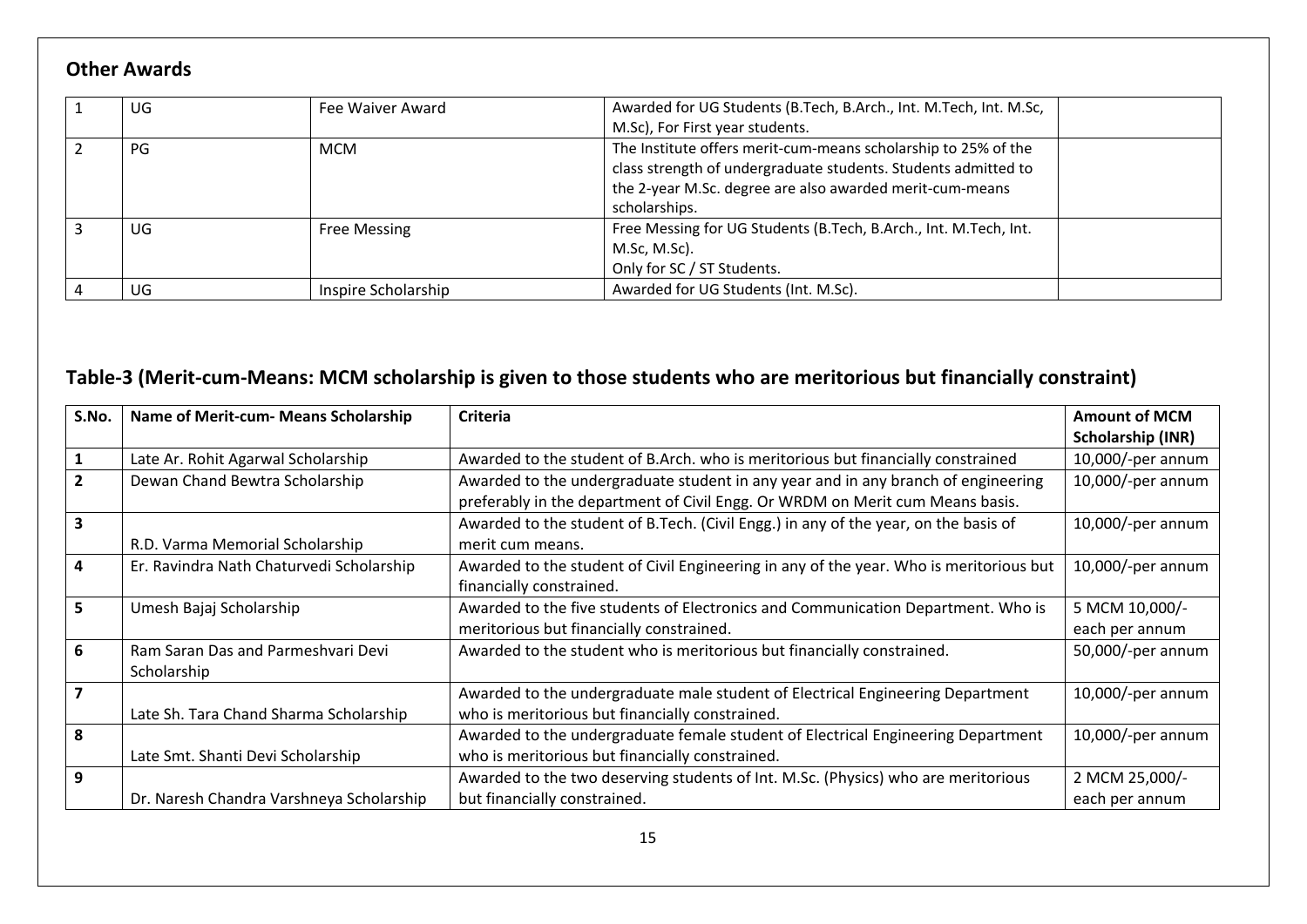#### **Other Awards**

| UG | Fee Waiver Award    | Awarded for UG Students (B.Tech, B.Arch., Int. M.Tech, Int. M.Sc,<br>M.Sc), For First year students.                                        |
|----|---------------------|---------------------------------------------------------------------------------------------------------------------------------------------|
| PG | <b>MCM</b>          | The Institute offers merit-cum-means scholarship to 25% of the                                                                              |
|    |                     | class strength of undergraduate students. Students admitted to<br>the 2-year M.Sc. degree are also awarded merit-cum-means<br>scholarships. |
| UG | <b>Free Messing</b> | Free Messing for UG Students (B.Tech, B.Arch., Int. M.Tech, Int.<br>M.Sc, M.Sc).<br>Only for SC / ST Students.                              |
| UG | Inspire Scholarship | Awarded for UG Students (Int. M.Sc).                                                                                                        |

### **Table-3 (Merit-cum-Means: MCM scholarship is given to those students who are meritorious but financially constraint)**

| S.No.        | Name of Merit-cum- Means Scholarship     | Criteria                                                                               | <b>Amount of MCM</b> |
|--------------|------------------------------------------|----------------------------------------------------------------------------------------|----------------------|
|              |                                          |                                                                                        | Scholarship (INR)    |
|              | Late Ar. Rohit Agarwal Scholarship       | Awarded to the student of B.Arch. who is meritorious but financially constrained       | 10,000/-per annum    |
| $\mathbf{2}$ | Dewan Chand Bewtra Scholarship           | Awarded to the undergraduate student in any year and in any branch of engineering      | 10,000/-per annum    |
|              |                                          | preferably in the department of Civil Engg. Or WRDM on Merit cum Means basis.          |                      |
|              |                                          | Awarded to the student of B.Tech. (Civil Engg.) in any of the year, on the basis of    | 10,000/-per annum    |
|              | R.D. Varma Memorial Scholarship          | merit cum means.                                                                       |                      |
| 4            | Er. Ravindra Nath Chaturvedi Scholarship | Awarded to the student of Civil Engineering in any of the year. Who is meritorious but | 10,000/-per annum    |
|              |                                          | financially constrained.                                                               |                      |
| 5            | Umesh Bajaj Scholarship                  | Awarded to the five students of Electronics and Communication Department. Who is       | 5 MCM 10,000/-       |
|              |                                          | meritorious but financially constrained.                                               | each per annum       |
| 6            | Ram Saran Das and Parmeshvari Devi       | Awarded to the student who is meritorious but financially constrained.                 | 50,000/-per annum    |
|              | Scholarship                              |                                                                                        |                      |
|              |                                          | Awarded to the undergraduate male student of Electrical Engineering Department         | 10,000/-per annum    |
|              | Late Sh. Tara Chand Sharma Scholarship   | who is meritorious but financially constrained.                                        |                      |
| 8            |                                          | Awarded to the undergraduate female student of Electrical Engineering Department       | 10,000/-per annum    |
|              | Late Smt. Shanti Devi Scholarship        | who is meritorious but financially constrained.                                        |                      |
| 9            |                                          | Awarded to the two deserving students of Int. M.Sc. (Physics) who are meritorious      | 2 MCM 25,000/-       |
|              | Dr. Naresh Chandra Varshneya Scholarship | but financially constrained.                                                           | each per annum       |